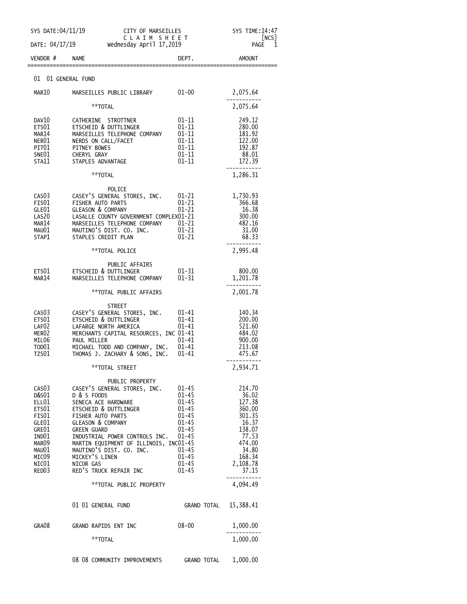| SYS DATE: 04/11/19                                                                                                   |                                                                                                                                                                                                                                                                                                                                                             | CITY OF MARSEILLES<br>CLAIM SHEET                                                                                          |                                                                                                                             |
|----------------------------------------------------------------------------------------------------------------------|-------------------------------------------------------------------------------------------------------------------------------------------------------------------------------------------------------------------------------------------------------------------------------------------------------------------------------------------------------------|----------------------------------------------------------------------------------------------------------------------------|-----------------------------------------------------------------------------------------------------------------------------|
| DATE: 04/17/19                                                                                                       | Wednesday April 17,2019                                                                                                                                                                                                                                                                                                                                     |                                                                                                                            | NCS <br>PAGE<br>1                                                                                                           |
| VENDOR #                                                                                                             | <b>NAME</b>                                                                                                                                                                                                                                                                                                                                                 | DEPT.                                                                                                                      | AMOUNT                                                                                                                      |
| 01 01 GENERAL FUND                                                                                                   |                                                                                                                                                                                                                                                                                                                                                             |                                                                                                                            |                                                                                                                             |
| MAR10                                                                                                                | MARSEILLES PUBLIC LIBRARY                                                                                                                                                                                                                                                                                                                                   | $01 - 00$                                                                                                                  | 2,075.64                                                                                                                    |
|                                                                                                                      | **TOTAL                                                                                                                                                                                                                                                                                                                                                     |                                                                                                                            | 2,075.64                                                                                                                    |
| DAV10<br>ETS01<br>MAR14<br>NER01<br>PIT01<br>SNE01<br>STA11                                                          | CATHERINE STROTTNER<br>ETSCHEID & DUTTLINGER<br>MARSEILLES TELEPHONE COMPANY<br>NERDS ON CALL/FACET<br>PITNEY BOWES<br>CHERYL GRAY<br>STAPLES ADVANTAGE                                                                                                                                                                                                     | $01 - 11$<br>$01 - 11$<br>$01 - 11$<br>$01 - 11$<br>$01 - 11$<br>$01 - 11$<br>$01 - 11$                                    | 249.12<br>280.00<br>181.92<br>122.00<br>192.87<br>88.01<br>172.39                                                           |
|                                                                                                                      | **TOTAL                                                                                                                                                                                                                                                                                                                                                     |                                                                                                                            | 1,286.31                                                                                                                    |
| CAS <sub>03</sub><br>FIS01<br>GLE01<br>LAS20<br>MAR14<br>MAU01<br>STAP1                                              | POLICE<br>CASEY'S GENERAL STORES, INC.<br>FISHER AUTO PARTS<br><b>GLEASON &amp; COMPANY</b><br>LASALLE COUNTY GOVERNMENT COMPLEX01-21<br>MARSEILLES TELEPHONE COMPANY 01-21<br>MAUTINO'S DIST. CO. INC. 01-21<br>STAPLES CREDIT PLAN                                                                                                                        | 01-21<br>$01 - 21$<br>$01 - 21$<br>$01 - 21$                                                                               | 1,730.93<br>366.68<br>16.38<br>300.00<br>482.16<br>31.00<br>68.33                                                           |
|                                                                                                                      | **TOTAL POLICE                                                                                                                                                                                                                                                                                                                                              |                                                                                                                            | 2,995.48                                                                                                                    |
| ETS01<br>MAR14                                                                                                       | PUBLIC AFFAIRS<br>ETSCHEID & DUTTLINGER<br>MARSEILLES TELEPHONE COMPANY                                                                                                                                                                                                                                                                                     | $01 - 31$<br>$01 - 31$                                                                                                     | 800.00<br>1,201.78                                                                                                          |
|                                                                                                                      | **TOTAL PUBLIC AFFAIRS                                                                                                                                                                                                                                                                                                                                      |                                                                                                                            | 2,001.78                                                                                                                    |
| CAS <sub>0</sub> 3<br>ETS01<br>LAF <sub>02</sub><br>MER <sub>02</sub><br>MIL06<br>TOD <sub>01</sub><br>TZS01         | <b>STREET</b><br>CASEY'S GENERAL STORES, INC.<br>ETSCHEID & DUTTLINGER<br>LAFARGE NORTH AMERICA<br>MERCHANTS CAPITAL RESOURCES, INC 01-41<br>PAUL MILLER<br>MICHAEL TODD AND COMPANY, INC.<br>THOMAS J. ZACHARY & SONS, INC.                                                                                                                                | $01 - 41$<br>$01 - 41$<br>$01 - 41$<br>$01 - 41$<br>$01 - 41$<br>01-41                                                     | 140.34<br>200.00<br>521.60<br>484.02<br>900.00<br>213.08<br>475.67                                                          |
|                                                                                                                      | **TOTAL STREET                                                                                                                                                                                                                                                                                                                                              |                                                                                                                            | 2,934.71                                                                                                                    |
| CAS03<br>D&S01<br>ELL01<br>ETS01<br>FIS01<br>GLE01<br>GRE01<br>IND01<br>MAR09<br>MAU01<br>MICO9<br>NIC $01$<br>RED03 | PUBLIC PROPERTY<br>CASEY'S GENERAL STORES, INC.<br>D & S FOODS<br>SENECA ACE HARDWARE<br>ETSCHEID & DUTTLINGER<br>FISHER AUTO PARTS<br>GLEASON & COMPANY<br><b>GREEN GUARD</b><br>INDUSTRIAL POWER CONTROLS INC. 01-45<br>MARTIN EQUIPMENT OF ILLINOIS, INC01-45<br>MAUTINO'S DIST. CO. INC. 01-45<br>MICKEY'S LINEN<br>NICOR GAS<br>RED'S TRUCK REPAIR INC | $01 - 45$<br>01-45<br>$01 - 45$<br>$01 - 45$<br>$01 - 45$<br>$01 - 45$<br>$01 - 45$<br>$01 - 45$<br>$01 - 45$<br>$01 - 45$ | 214.70<br>36.02<br>127.38<br>360.00<br>301.35<br>16.37<br>138.07<br>77.53<br>474.00<br>34.80<br>168.34<br>2,108.78<br>37.15 |
|                                                                                                                      | **TOTAL PUBLIC PROPERTY                                                                                                                                                                                                                                                                                                                                     |                                                                                                                            | 4,094.49                                                                                                                    |
|                                                                                                                      | 01 01 GENERAL FUND                                                                                                                                                                                                                                                                                                                                          | GRAND TOTAL 15,388.41                                                                                                      |                                                                                                                             |
| GRA08                                                                                                                | GRAND RAPIDS ENT INC                                                                                                                                                                                                                                                                                                                                        | 08-00                                                                                                                      | 1,000.00                                                                                                                    |
|                                                                                                                      | **TOTAL                                                                                                                                                                                                                                                                                                                                                     |                                                                                                                            | 1,000.00                                                                                                                    |
|                                                                                                                      | 08 08 COMMUNITY IMPROVEMENTS GRAND TOTAL                                                                                                                                                                                                                                                                                                                    |                                                                                                                            | 1,000.00                                                                                                                    |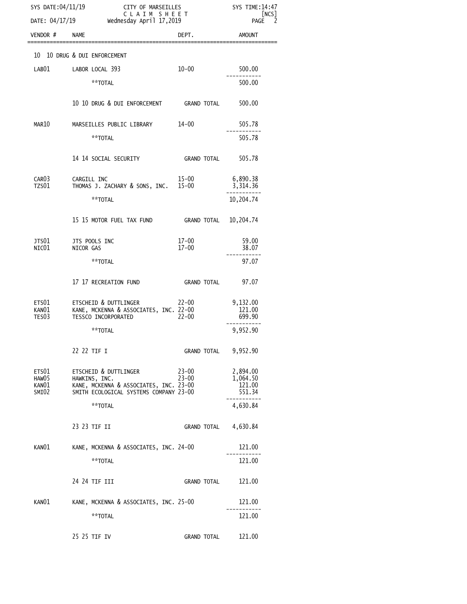| SYS DATE:04/11/19<br>DATE: 04/17/19 |                                                                                                                            | CITY OF MARSEILLES<br>CLAIM SHEET<br>Wednesday April 17,2019 |                                          |
|-------------------------------------|----------------------------------------------------------------------------------------------------------------------------|--------------------------------------------------------------|------------------------------------------|
| VENDOR #                            | <b>NAME</b>                                                                                                                | DEPT.                                                        | <b>AMOUNT</b>                            |
|                                     | 10 10 DRUG & DUI ENFORCEMENT                                                                                               |                                                              |                                          |
| LAB01                               | LABOR LOCAL 393                                                                                                            | $10 - 00$                                                    | 500.00                                   |
|                                     | **TOTAL                                                                                                                    |                                                              | 500.00                                   |
|                                     | 10 10 DRUG & DUI ENFORCEMENT GRAND TOTAL                                                                                   |                                                              | 500.00                                   |
| MAR10                               | MARSEILLES PUBLIC LIBRARY                                                                                                  | 14-00                                                        | 505.78                                   |
|                                     | **TOTAL                                                                                                                    |                                                              | 505.78                                   |
|                                     | 14 14 SOCIAL SECURITY                                                                                                      | GRAND TOTAL                                                  | 505.78                                   |
| CAR <sub>03</sub>                   | CARGILL INC                                                                                                                | 15-00                                                        | 6,890.38                                 |
| TZS01                               | THOMAS J. ZACHARY & SONS, INC. 15-00<br>**TOTAL                                                                            |                                                              | 3,314.36<br>10,204.74                    |
|                                     |                                                                                                                            |                                                              |                                          |
|                                     | 15 15 MOTOR FUEL TAX FUND                                                                                                  | <b>GRAND TOTAL</b>                                           | 10,204.74                                |
| JTS01<br>NIC01                      | JTS POOLS INC<br>NICOR GAS                                                                                                 | 17-00<br>$17 - 00$                                           | 59.00<br>38.07                           |
|                                     | **TOTAL                                                                                                                    |                                                              | 97.07                                    |
|                                     | 17 17 RECREATION FUND                                                                                                      | <b>GRAND TOTAL</b>                                           | 97.07                                    |
| ETS01<br>KANO1<br>TES03             | ETSCHEID & DUTTLINGER<br>KANE, MCKENNA & ASSOCIATES, INC. 22-00<br>TESSCO INCORPORATED                                     | 22-00<br>$22 - 00$                                           | 9,132.00<br>121.00<br>699.90             |
|                                     | **TOTAL                                                                                                                    |                                                              | 9,952.90                                 |
|                                     | 22 22 TIF I                                                                                                                | <b>GRAND TOTAL</b>                                           | 9,952.90                                 |
| ETS01<br>HAW05<br>KAN01<br>SMI02    | ETSCHEID & DUTTLINGER<br>HAWKINS, INC.<br>KANE, MCKENNA & ASSOCIATES, INC. 23-00<br>SMITH ECOLOGICAL SYSTEMS COMPANY 23-00 | $23 - 00$<br>$23 - 00$                                       | 2,894.00<br>1,064.50<br>121.00<br>551.34 |
|                                     | **TOTAL                                                                                                                    |                                                              | 4,630.84                                 |
|                                     | 23 23 TIF II                                                                                                               | <b>GRAND TOTAL</b>                                           | 4,630.84                                 |
| KAN01                               | KANE, MCKENNA & ASSOCIATES, INC. 24-00                                                                                     |                                                              | 121.00                                   |
|                                     | **TOTAL                                                                                                                    |                                                              | 121.00                                   |
|                                     | 24 24 TIF III                                                                                                              | GRAND TOTAL                                                  | 121.00                                   |
| KAN01                               | KANE, MCKENNA & ASSOCIATES, INC. 25-00                                                                                     |                                                              | 121.00                                   |
|                                     | **TOTAL                                                                                                                    |                                                              | 121.00                                   |
|                                     | 25 25 TIF IV                                                                                                               | <b>GRAND TOTAL</b>                                           | 121.00                                   |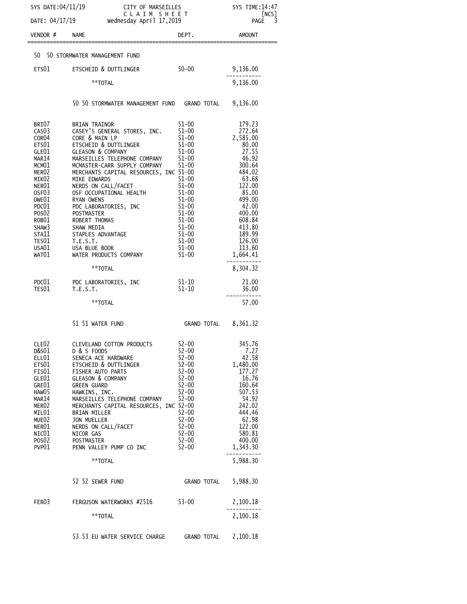| SYS DATE:04/11/19 CITY OF MARSEILLES SYS TIME:14:47<br>DATE: 04/17/19 Wednesday April 17,2019 PAGE 3                                                                             |                                                                                                                                                                                                                                                                                                                                                                                                                                                                                                                                                                                                                                                                                                         |                                                                                                                                                                                            |                                                                                                                                                                                    |  |
|----------------------------------------------------------------------------------------------------------------------------------------------------------------------------------|---------------------------------------------------------------------------------------------------------------------------------------------------------------------------------------------------------------------------------------------------------------------------------------------------------------------------------------------------------------------------------------------------------------------------------------------------------------------------------------------------------------------------------------------------------------------------------------------------------------------------------------------------------------------------------------------------------|--------------------------------------------------------------------------------------------------------------------------------------------------------------------------------------------|------------------------------------------------------------------------------------------------------------------------------------------------------------------------------------|--|
|                                                                                                                                                                                  | DATE: 04/17/19 wednesday April 17,2019                                                                                                                                                                                                                                                                                                                                                                                                                                                                                                                                                                                                                                                                  |                                                                                                                                                                                            |                                                                                                                                                                                    |  |
| $VENDOR$ # $NAME$                                                                                                                                                                |                                                                                                                                                                                                                                                                                                                                                                                                                                                                                                                                                                                                                                                                                                         | DEPT.                                                                                                                                                                                      | AMOUNT                                                                                                                                                                             |  |
|                                                                                                                                                                                  | 50 50 STORMWATER MANAGEMENT FUND                                                                                                                                                                                                                                                                                                                                                                                                                                                                                                                                                                                                                                                                        |                                                                                                                                                                                            |                                                                                                                                                                                    |  |
|                                                                                                                                                                                  | $50 - 00$<br>ETS01 ETSCHEID & DUTTLINGER                                                                                                                                                                                                                                                                                                                                                                                                                                                                                                                                                                                                                                                                |                                                                                                                                                                                            | 9,136.00                                                                                                                                                                           |  |
|                                                                                                                                                                                  | **TOTAL                                                                                                                                                                                                                                                                                                                                                                                                                                                                                                                                                                                                                                                                                                 |                                                                                                                                                                                            | 9,136.00                                                                                                                                                                           |  |
|                                                                                                                                                                                  | 50 50 STORMWATER MANAGEMENT FUND GRAND TOTAL 9,136.00                                                                                                                                                                                                                                                                                                                                                                                                                                                                                                                                                                                                                                                   |                                                                                                                                                                                            |                                                                                                                                                                                    |  |
| BRI07<br>CAS03<br>COR04<br>ETS01<br>GLE01<br>MAR14<br>MCM01<br>MER02<br>MIK02<br>NER01<br>OSF03<br>WAT01                                                                         | BRIAN TRAINOR<br>CASEY'S GENERAL STORES, INC. 51-00 272.64<br>CORE & MAIN LP 51-00 27585.00<br>ETSCHEID & DUITLINGER 51-00 80.00<br>GLEASON & COMPANY 51-00 80.00<br>GLEASON & COMPANY 51-00 27.55<br>CORE & MAIN LP<br>GLEASON & COMPANY<br>MARSEILLES TELEPHONE COMPANY 51-00<br>MCMASTER-CARR SUPPLY COMPANY 51-00<br>MERCHANTS CAPITAL RESOURCES, INC 51-00<br>MERCHANTS CA<br>MIKE EDWARDS<br>NERDS ON CALL/FACET<br>SJEEP ON THE MANUSING THE MAIL ON THE MANUSING THE MANUSING SHAW SHAW SHAW SHAW MEDIA<br>THE MANUSING SHAW MEDIA<br>SHAW SHAW MEDIA<br>SHAW SHAW MEDIA<br>SHAW SHAW MEDIA<br>SHAW MEDIA<br>TESOI T.E.S.T.<br>T.E.S.T.<br>USAOI USAOI USA BLUE<br>WATER PRODUCTS COMPANY 51-00 | $51 - 00$<br>$51 - 00$<br>$51 - 00$<br>$51 - 00$<br>$51-00$<br>$51 - 00$<br>$51-00$<br>$51-00$<br>$51-00$                                                                                  | 46.92<br>300.64<br>484.02<br>$63.68$<br>$122.00$<br>$85.00$<br>$499.00$<br>42.00<br>400.00<br>608.84<br>413.80<br>189.99<br>126.00<br>113.60<br>1,664.41                           |  |
|                                                                                                                                                                                  | **TOTAL                                                                                                                                                                                                                                                                                                                                                                                                                                                                                                                                                                                                                                                                                                 |                                                                                                                                                                                            | 8,304.32                                                                                                                                                                           |  |
|                                                                                                                                                                                  | PDC01 PDC LABORATORIES, INC<br>TES01 T.E.S.T.                                                                                                                                                                                                                                                                                                                                                                                                                                                                                                                                                                                                                                                           | $51 - 10$<br>$51 - 10$                                                                                                                                                                     | 21.00<br>36.00                                                                                                                                                                     |  |
|                                                                                                                                                                                  | **TOTAL                                                                                                                                                                                                                                                                                                                                                                                                                                                                                                                                                                                                                                                                                                 |                                                                                                                                                                                            | 57.00                                                                                                                                                                              |  |
|                                                                                                                                                                                  | 51 51 WATER FUND                                                                                                                                                                                                                                                                                                                                                                                                                                                                                                                                                                                                                                                                                        | GRAND TOTAL 8,361.32                                                                                                                                                                       |                                                                                                                                                                                    |  |
| CLE <sub>02</sub><br>D&S01<br>ELL01<br>ETS01<br>FIS01<br>GLE01<br>GRE01<br>HAW05<br>MAR14<br>MER <sub>02</sub><br>MIL01<br>MUE02<br>NER01<br>NIC01<br>POSO <sub>2</sub><br>PVP01 | CLEVELAND COTTON PRODUCTS<br>D & S FOODS<br>SENECA ACE HARDWARE<br>ETSCHEID & DUTTLINGER<br>FISHER AUTO PARTS<br><b>GLEASON &amp; COMPANY</b><br><b>GREEN GUARD</b><br>HAWKINS, INC.<br>MARSEILLES TELEPHONE COMPANY<br>MERCHANTS CAPITAL RESOURCES, INC 52-00<br><b>BRIAN MILLER</b><br><b>JON MUELLER</b><br>NERDS ON CALL/FACET<br>NICOR GAS<br><b>POSTMASTER</b><br>PENN VALLEY PUMP CO INC<br>**TOTAL<br>52 52 SEWER FUND                                                                                                                                                                                                                                                                          | 52-00<br>$52 - 00$<br>$52 - 00$<br>$52 - 00$<br>$52 - 00$<br>$52 - 00$<br>$52 - 00$<br>$52 - 00$<br>$52 - 00$<br>$52 - 00$<br>$52 - 00$<br>52-00<br>52-00<br>52-00<br>52-00<br>GRAND TOTAL | 345.76<br>7.27<br>42.58<br>1,480.00<br>177.27<br>16.76<br>160.64<br>507.53<br>54.92<br>242.02<br>444.46<br>62.98<br>122.00<br>580.81<br>400.00<br>1,343.30<br>5,988.30<br>5,988.30 |  |
| FER03                                                                                                                                                                            | FERGUSON WATERWORKS #2516 53-00                                                                                                                                                                                                                                                                                                                                                                                                                                                                                                                                                                                                                                                                         |                                                                                                                                                                                            | 2,100.18                                                                                                                                                                           |  |
|                                                                                                                                                                                  | **TOTAL                                                                                                                                                                                                                                                                                                                                                                                                                                                                                                                                                                                                                                                                                                 |                                                                                                                                                                                            | 2,100.18                                                                                                                                                                           |  |
|                                                                                                                                                                                  | 53 53 EU WATER SERVICE CHARGE GRAND TOTAL 2,100.18                                                                                                                                                                                                                                                                                                                                                                                                                                                                                                                                                                                                                                                      |                                                                                                                                                                                            |                                                                                                                                                                                    |  |